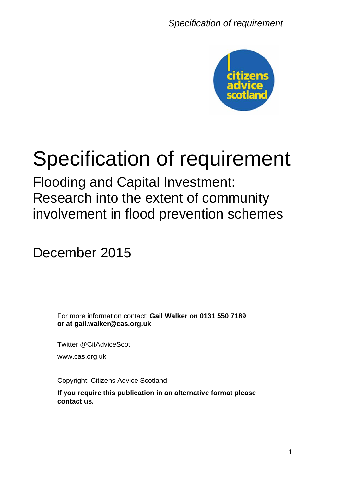

# Specification of requirement

Flooding and Capital Investment: Research into the extent of community involvement in flood prevention schemes

December 2015

For more information contact: **Gail Walker on 0131 550 7189 or at gail.walker@cas.org.uk**

Twitter @CitAdviceScot www.cas.org.uk

Copyright: Citizens Advice Scotland

**If you require this publication in an alternative format please contact us.**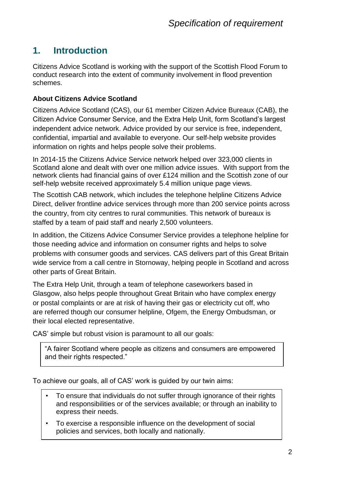#### **1. Introduction**

Citizens Advice Scotland is working with the support of the Scottish Flood Forum to conduct research into the extent of community involvement in flood prevention schemes.

#### **About Citizens Advice Scotland**

Citizens Advice Scotland (CAS), our 61 member Citizen Advice Bureaux (CAB), the Citizen Advice Consumer Service, and the Extra Help Unit, form Scotland's largest independent advice network. Advice provided by our service is free, independent, confidential, impartial and available to everyone. Our self-help website provides information on rights and helps people solve their problems.

In 2014-15 the Citizens Advice Service network helped over 323,000 clients in Scotland alone and dealt with over one million advice issues. With support from the network clients had financial gains of over £124 million and the Scottish zone of our self-help website received approximately 5.4 million unique page views.

The Scottish CAB network, which includes the telephone helpline Citizens Advice Direct, deliver frontline advice services through more than 200 service points across the country, from city centres to rural communities. This network of bureaux is staffed by a team of paid staff and nearly 2,500 volunteers.

In addition, the Citizens Advice Consumer Service provides a telephone helpline for those needing advice and information on consumer rights and helps to solve problems with consumer goods and services. CAS delivers part of this Great Britain wide service from a call centre in Stornoway, helping people in Scotland and across other parts of Great Britain.

The Extra Help Unit, through a team of telephone caseworkers based in Glasgow, also helps people throughout Great Britain who have complex energy or postal complaints or are at risk of having their gas or electricity cut off, who are referred though our consumer helpline, Ofgem, the Energy Ombudsman, or their local elected representative.

CAS' simple but robust vision is paramount to all our goals:

"A fairer Scotland where people as citizens and consumers are empowered and their rights respected."

To achieve our goals, all of CAS' work is guided by our twin aims:

- To ensure that individuals do not suffer through ignorance of their rights and responsibilities or of the services available; or through an inability to express their needs.
- To exercise a responsible influence on the development of social policies and services, both locally and nationally.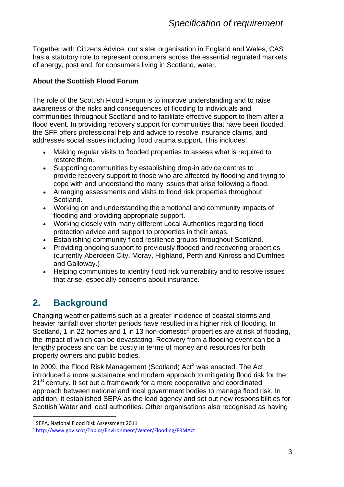Together with Citizens Advice, our sister organisation in England and Wales, CAS has a statutory role to represent consumers across the essential regulated markets of energy, post and, for consumers living in Scotland, water.

#### **About the Scottish Flood Forum**

The role of the Scottish Flood Forum is to improve understanding and to raise awareness of the risks and consequences of flooding to individuals and communities throughout Scotland and to facilitate effective support to them after a flood event. In providing recovery support for communities that have been flooded, the SFF offers professional help and advice to resolve insurance claims, and addresses social issues including flood trauma support. This includes:

- Making regular visits to flooded properties to assess what is required to restore them.
- Supporting communities by establishing drop-in advice centres to provide recovery support to those who are affected by flooding and trying to cope with and understand the many issues that arise following a flood.
- Arranging assessments and visits to flood risk properties throughout Scotland.
- Working on and understanding the emotional and community impacts of flooding and providing appropriate support.
- Working closely with many different Local Authorities regarding flood protection advice and support to properties in their areas.
- Establishing community flood resilience groups throughout Scotland.
- Providing ongoing support to previously flooded and recovering properties (currently Aberdeen City, Moray, Highland, Perth and Kinross and Dumfries and Galloway.)
- Helping communities to identify flood risk vulnerability and to resolve issues that arise, especially concerns about insurance.

#### **2. Background**

Changing weather patterns such as a greater incidence of coastal storms and heavier rainfall over shorter periods have resulted in a higher risk of flooding. In Scotland, 1 in 22 homes and 1 in 13 non-domestic<sup>1</sup> properties are at risk of flooding, the impact of which can be devastating. Recovery from a flooding event can be a lengthy process and can be costly in terms of money and resources for both property owners and public bodies.

In 2009, the Flood Risk Management (Scotland) Act<sup>2</sup> was enacted. The Act introduced a more sustainable and modern approach to mitigating flood risk for the 21<sup>st</sup> century. It set out a framework for a more cooperative and coordinated approach between national and local government bodies to manage flood risk. In addition, it established SEPA as the lead agency and set out new responsibilities for Scottish Water and local authorities. Other organisations also recognised as having

1

<sup>1</sup> SEPA, National Flood Risk Assessment 2011

<sup>2</sup> <http://www.gov.scot/Topics/Environment/Water/Flooding/FRMAct>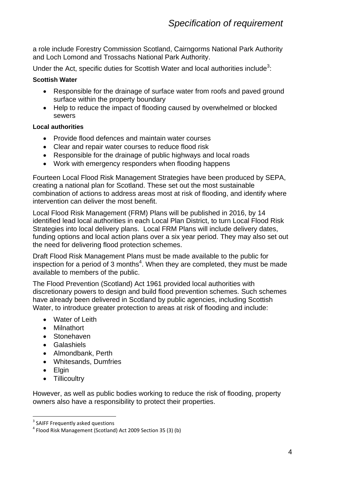a role include Forestry Commission Scotland, Cairngorms National Park Authority and Loch Lomond and Trossachs National Park Authority.

Under the Act, specific duties for Scottish Water and local authorities include<sup>3</sup>:

#### **Scottish Water**

- Responsible for the drainage of surface water from roofs and paved ground surface within the property boundary
- Help to reduce the impact of flooding caused by overwhelmed or blocked sewers

#### **Local authorities**

- Provide flood defences and maintain water courses
- Clear and repair water courses to reduce flood risk
- Responsible for the drainage of public highways and local roads
- Work with emergency responders when flooding happens

Fourteen Local Flood Risk Management Strategies have been produced by SEPA, creating a national plan for Scotland. These set out the most sustainable combination of actions to address areas most at risk of flooding, and identify where intervention can deliver the most benefit.

Local Flood Risk Management (FRM) Plans will be published in 2016, by 14 identified lead local authorities in each Local Plan District, to turn Local Flood Risk Strategies into local delivery plans. Local FRM Plans will include delivery dates, funding options and local action plans over a six year period. They may also set out the need for delivering flood protection schemes.

Draft Flood Risk Management Plans must be made available to the public for inspection for a period of 3 months<sup>4</sup>. When they are completed, they must be made available to members of the public.

The Flood Prevention (Scotland) Act 1961 provided local authorities with discretionary powers to design and build flood prevention schemes. Such schemes have already been delivered in Scotland by public agencies, including Scottish Water, to introduce greater protection to areas at risk of flooding and include:

- Water of Leith
- Milnathort
- Stonehaven
- Galashiels
- Almondbank, Perth
- Whitesands, Dumfries
- Elgin

1

• Tillicoultry

However, as well as public bodies working to reduce the risk of flooding, property owners also have a responsibility to protect their properties.

<sup>&</sup>lt;sup>3</sup> SAIFF Frequently asked questions

<sup>4</sup> Flood Risk Management (Scotland) Act 2009 Section 35 (3) (b)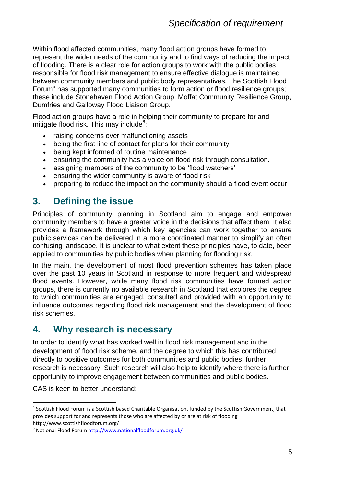Within flood affected communities, many flood action groups have formed to represent the wider needs of the community and to find ways of reducing the impact of flooding. There is a clear role for action groups to work with the public bodies responsible for flood risk management to ensure effective dialogue is maintained between community members and public body representatives. The Scottish Flood Forum<sup>5</sup> has supported many communities to form action or flood resilience groups; these include Stonehaven Flood Action Group, Moffat Community Resilience Group, Dumfries and Galloway Flood Liaison Group.

Flood action groups have a role in helping their community to prepare for and mitigate flood risk. This may include<sup>6</sup>:

- raising concerns over malfunctioning assets
- being the first line of contact for plans for their community
- being kept informed of routine maintenance
- ensuring the community has a voice on flood risk through consultation.
- assigning members of the community to be 'flood watchers'
- **ensuring the wider community is aware of flood risk**
- preparing to reduce the impact on the community should a flood event occur

#### **3. Defining the issue**

Principles of community planning in Scotland aim to engage and empower community members to have a greater voice in the decisions that affect them. It also provides a framework through which key agencies can work together to ensure public services can be delivered in a more coordinated manner to simplify an often confusing landscape. It is unclear to what extent these principles have, to date, been applied to communities by public bodies when planning for flooding risk.

In the main, the development of most flood prevention schemes has taken place over the past 10 years in Scotland in response to more frequent and widespread flood events. However, while many flood risk communities have formed action groups, there is currently no available research in Scotland that explores the degree to which communities are engaged, consulted and provided with an opportunity to influence outcomes regarding flood risk management and the development of flood risk schemes.

#### **4. Why research is necessary**

In order to identify what has worked well in flood risk management and in the development of flood risk scheme, and the degree to which this has contributed directly to positive outcomes for both communities and public bodies, further research is necessary. Such research will also help to identify where there is further opportunity to improve engagement between communities and public bodies.

CAS is keen to better understand:

<u>.</u>

<sup>&</sup>lt;sup>5</sup> Scottish Flood Forum is a Scottish based Charitable Organisation, funded by the Scottish Government, that provides support for and represents those who are affected by or are at risk of flooding http://www.scottishfloodforum.org/

<sup>&</sup>lt;sup>6</sup> National Flood Forum<http://www.nationalfloodforum.org.uk/>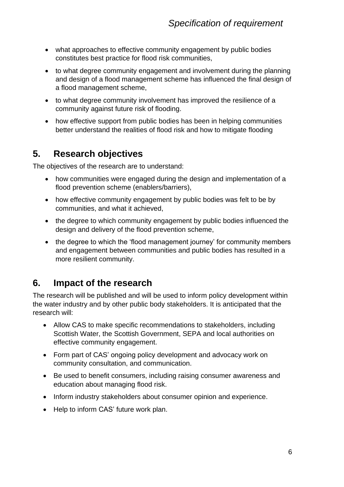- what approaches to effective community engagement by public bodies constitutes best practice for flood risk communities,
- to what degree community engagement and involvement during the planning and design of a flood management scheme has influenced the final design of a flood management scheme,
- to what degree community involvement has improved the resilience of a community against future risk of flooding.
- how effective support from public bodies has been in helping communities better understand the realities of flood risk and how to mitigate flooding

#### **5. Research objectives**

The objectives of the research are to understand:

- how communities were engaged during the design and implementation of a flood prevention scheme (enablers/barriers),
- how effective community engagement by public bodies was felt to be by communities, and what it achieved,
- the degree to which community engagement by public bodies influenced the design and delivery of the flood prevention scheme,
- the degree to which the 'flood management journey' for community members and engagement between communities and public bodies has resulted in a more resilient community.

#### **6. Impact of the research**

The research will be published and will be used to inform policy development within the water industry and by other public body stakeholders. It is anticipated that the research will:

- Allow CAS to make specific recommendations to stakeholders, including Scottish Water, the Scottish Government, SEPA and local authorities on effective community engagement.
- Form part of CAS' ongoing policy development and advocacy work on community consultation, and communication.
- Be used to benefit consumers, including raising consumer awareness and education about managing flood risk.
- Inform industry stakeholders about consumer opinion and experience.
- Help to inform CAS' future work plan.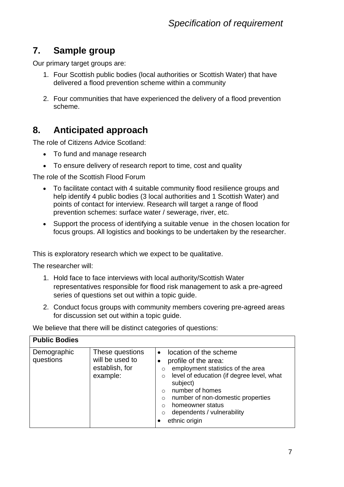#### **7. Sample group**

Our primary target groups are:

- 1. Four Scottish public bodies (local authorities or Scottish Water) that have delivered a flood prevention scheme within a community
- 2. Four communities that have experienced the delivery of a flood prevention scheme.

#### **8. Anticipated approach**

The role of Citizens Advice Scotland:

- To fund and manage research
- To ensure delivery of research report to time, cost and quality

The role of the Scottish Flood Forum

- To facilitate contact with 4 suitable community flood resilience groups and help identify 4 public bodies (3 local authorities and 1 Scottish Water) and points of contact for interview. Research will target a range of flood prevention schemes: surface water / sewerage, river, etc.
- Support the process of identifying a suitable venue in the chosen location for focus groups. All logistics and bookings to be undertaken by the researcher.

This is exploratory research which we expect to be qualitative.

The researcher will:

- 1. Hold face to face interviews with local authority/Scottish Water representatives responsible for flood risk management to ask a pre-agreed series of questions set out within a topic guide.
- 2. Conduct focus groups with community members covering pre-agreed areas for discussion set out within a topic guide.

We believe that there will be distinct categories of questions:

| <b>Public Bodies</b>     |                                                                  |                                                                                                                                                                                                                                                                                                                                             |
|--------------------------|------------------------------------------------------------------|---------------------------------------------------------------------------------------------------------------------------------------------------------------------------------------------------------------------------------------------------------------------------------------------------------------------------------------------|
| Demographic<br>questions | These questions<br>will be used to<br>establish, for<br>example: | location of the scheme<br>$\bullet$<br>profile of the area:<br>employment statistics of the area<br>$\circ$<br>level of education (if degree level, what<br>$\circ$<br>subject)<br>number of homes<br>$\Omega$<br>number of non-domestic properties<br>$\circ$<br>homeowner status<br>∩<br>dependents / vulnerability<br>O<br>ethnic origin |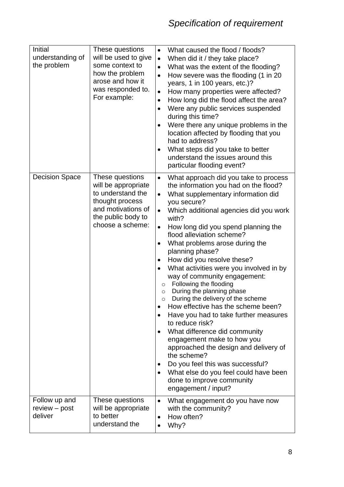| <b>Initial</b><br>understanding of<br>the problem | These questions<br>will be used to give<br>some context to<br>how the problem<br>arose and how it<br>was responded to.<br>For example:         | What caused the flood / floods?<br>$\bullet$<br>When did it / they take place?<br>$\bullet$<br>What was the extent of the flooding?<br>$\bullet$<br>How severe was the flooding (1 in 20<br>$\bullet$<br>years, 1 in 100 years, etc.)?<br>How many properties were affected?<br>$\bullet$<br>How long did the flood affect the area?<br>$\bullet$<br>Were any public services suspended<br>$\bullet$<br>during this time?<br>Were there any unique problems in the<br>$\bullet$<br>location affected by flooding that you<br>had to address?<br>What steps did you take to better<br>٠<br>understand the issues around this<br>particular flooding event?                                                                                                                                                                                                                                                                                                                                                                            |
|---------------------------------------------------|------------------------------------------------------------------------------------------------------------------------------------------------|--------------------------------------------------------------------------------------------------------------------------------------------------------------------------------------------------------------------------------------------------------------------------------------------------------------------------------------------------------------------------------------------------------------------------------------------------------------------------------------------------------------------------------------------------------------------------------------------------------------------------------------------------------------------------------------------------------------------------------------------------------------------------------------------------------------------------------------------------------------------------------------------------------------------------------------------------------------------------------------------------------------------------------------|
| <b>Decision Space</b>                             | These questions<br>will be appropriate<br>to understand the<br>thought process<br>and motivations of<br>the public body to<br>choose a scheme: | What approach did you take to process<br>$\bullet$<br>the information you had on the flood?<br>What supplementary information did<br>$\bullet$<br>you secure?<br>Which additional agencies did you work<br>$\bullet$<br>with?<br>How long did you spend planning the<br>$\bullet$<br>flood alleviation scheme?<br>What problems arose during the<br>$\bullet$<br>planning phase?<br>How did you resolve these?<br>What activities were you involved in by<br>$\bullet$<br>way of community engagement:<br>Following the flooding<br>$\circ$<br>During the planning phase<br>$\circ$<br>During the delivery of the scheme<br>$\circ$<br>How effective has the scheme been?<br>Have you had to take further measures<br>$\bullet$<br>to reduce risk?<br>What difference did community<br>$\bullet$<br>engagement make to how you<br>approached the design and delivery of<br>the scheme?<br>Do you feel this was successful?<br>What else do you feel could have been<br>$\bullet$<br>done to improve community<br>engagement / input? |
| Follow up and<br>review – post<br>deliver         | These questions<br>will be appropriate<br>to better<br>understand the                                                                          | What engagement do you have now<br>$\bullet$<br>with the community?<br>How often?<br>$\bullet$<br>Why?<br>$\bullet$                                                                                                                                                                                                                                                                                                                                                                                                                                                                                                                                                                                                                                                                                                                                                                                                                                                                                                                  |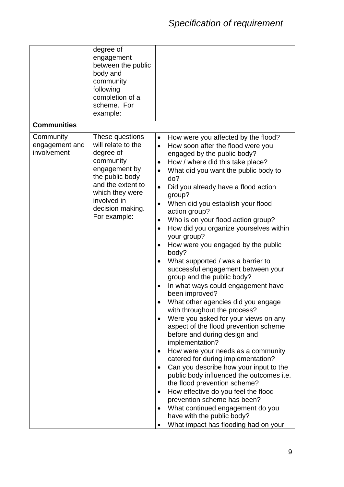|                                            | degree of<br>engagement<br>between the public<br>body and<br>community<br>following<br>completion of a<br>scheme. For<br>example:                                                              |                                                                                                                                                                                                                                                                                                                                                                                                                                                                                                                                                                                                                                                                                                                                                                                                                                                                                                                                                                                                                                                                                                                                                                                                                                                                                                                                                                                                                              |
|--------------------------------------------|------------------------------------------------------------------------------------------------------------------------------------------------------------------------------------------------|------------------------------------------------------------------------------------------------------------------------------------------------------------------------------------------------------------------------------------------------------------------------------------------------------------------------------------------------------------------------------------------------------------------------------------------------------------------------------------------------------------------------------------------------------------------------------------------------------------------------------------------------------------------------------------------------------------------------------------------------------------------------------------------------------------------------------------------------------------------------------------------------------------------------------------------------------------------------------------------------------------------------------------------------------------------------------------------------------------------------------------------------------------------------------------------------------------------------------------------------------------------------------------------------------------------------------------------------------------------------------------------------------------------------------|
| <b>Communities</b>                         |                                                                                                                                                                                                |                                                                                                                                                                                                                                                                                                                                                                                                                                                                                                                                                                                                                                                                                                                                                                                                                                                                                                                                                                                                                                                                                                                                                                                                                                                                                                                                                                                                                              |
| Community<br>engagement and<br>involvement | These questions<br>will relate to the<br>degree of<br>community<br>engagement by<br>the public body<br>and the extent to<br>which they were<br>involved in<br>decision making.<br>For example: | How were you affected by the flood?<br>$\bullet$<br>How soon after the flood were you<br>$\bullet$<br>engaged by the public body?<br>How / where did this take place?<br>$\bullet$<br>What did you want the public body to<br>$\bullet$<br>do?<br>Did you already have a flood action<br>$\bullet$<br>group?<br>When did you establish your flood<br>$\bullet$<br>action group?<br>Who is on your flood action group?<br>$\bullet$<br>How did you organize yourselves within<br>$\bullet$<br>your group?<br>How were you engaged by the public<br>$\bullet$<br>body?<br>What supported / was a barrier to<br>$\bullet$<br>successful engagement between your<br>group and the public body?<br>In what ways could engagement have<br>$\bullet$<br>been improved?<br>What other agencies did you engage<br>with throughout the process?<br>Were you asked for your views on any<br>$\bullet$<br>aspect of the flood prevention scheme<br>before and during design and<br>implementation?<br>How were your needs as a community<br>$\bullet$<br>catered for during implementation?<br>Can you describe how your input to the<br>$\bullet$<br>public body influenced the outcomes i.e.<br>the flood prevention scheme?<br>How effective do you feel the flood<br>$\bullet$<br>prevention scheme has been?<br>What continued engagement do you<br>$\bullet$<br>have with the public body?<br>What impact has flooding had on your |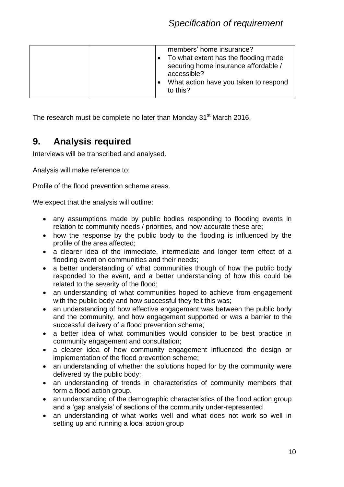|  | members' home insurance?<br>To what extent has the flooding made<br>securing home insurance affordable /<br>accessible?<br>What action have you taken to respond<br>to this? |
|--|------------------------------------------------------------------------------------------------------------------------------------------------------------------------------|
|--|------------------------------------------------------------------------------------------------------------------------------------------------------------------------------|

The research must be complete no later than Monday 31<sup>st</sup> March 2016.

#### **9. Analysis required**

Interviews will be transcribed and analysed.

Analysis will make reference to:

Profile of the flood prevention scheme areas.

We expect that the analysis will outline:

- any assumptions made by public bodies responding to flooding events in relation to community needs / priorities, and how accurate these are;
- how the response by the public body to the flooding is influenced by the profile of the area affected;
- a clearer idea of the immediate, intermediate and longer term effect of a flooding event on communities and their needs;
- a better understanding of what communities though of how the public body responded to the event, and a better understanding of how this could be related to the severity of the flood;
- an understanding of what communities hoped to achieve from engagement with the public body and how successful they felt this was;
- an understanding of how effective engagement was between the public body and the community, and how engagement supported or was a barrier to the successful delivery of a flood prevention scheme;
- a better idea of what communities would consider to be best practice in community engagement and consultation;
- a clearer idea of how community engagement influenced the design or implementation of the flood prevention scheme;
- an understanding of whether the solutions hoped for by the community were delivered by the public body;
- an understanding of trends in characteristics of community members that form a flood action group.
- an understanding of the demographic characteristics of the flood action group and a 'gap analysis' of sections of the community under-represented
- an understanding of what works well and what does not work so well in setting up and running a local action group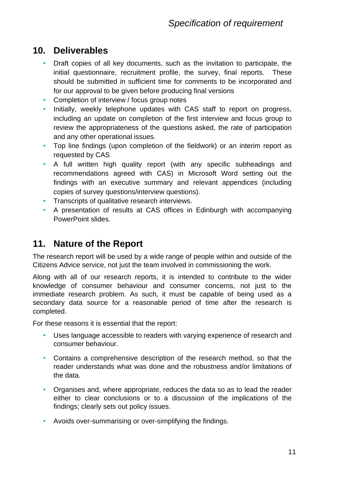#### **10. Deliverables**

- Draft copies of all key documents, such as the invitation to participate, the initial questionnaire, recruitment profile, the survey, final reports. These should be submitted in sufficient time for comments to be incorporated and for our approval to be given before producing final versions
- Completion of interview / focus group notes
- Initially, weekly telephone updates with CAS staff to report on progress, including an update on completion of the first interview and focus group to review the appropriateness of the questions asked, the rate of participation and any other operational issues.
- Top line findings (upon completion of the fieldwork) or an interim report as requested by CAS
- A full written high quality report (with any specific subheadings and recommendations agreed with CAS) in Microsoft Word setting out the findings with an executive summary and relevant appendices (including copies of survey questions/interview questions).
- Transcripts of qualitative research interviews.
- A presentation of results at CAS offices in Edinburgh with accompanying PowerPoint slides.

#### **11. Nature of the Report**

The research report will be used by a wide range of people within and outside of the Citizens Advice service, not just the team involved in commissioning the work.

Along with all of our research reports, it is intended to contribute to the wider knowledge of consumer behaviour and consumer concerns, not just to the immediate research problem. As such, it must be capable of being used as a secondary data source for a reasonable period of time after the research is completed.

For these reasons it is essential that the report:

- Uses language accessible to readers with varying experience of research and consumer behaviour.
- Contains a comprehensive description of the research method, so that the reader understands what was done and the robustness and/or limitations of the data.
- Organises and, where appropriate, reduces the data so as to lead the reader either to clear conclusions or to a discussion of the implications of the findings; clearly sets out policy issues.
- Avoids over-summarising or over-simplifying the findings.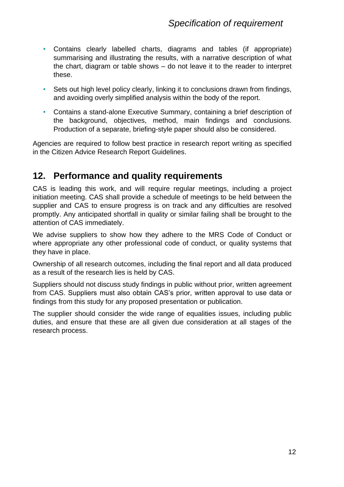- Contains clearly labelled charts, diagrams and tables (if appropriate) summarising and illustrating the results, with a narrative description of what the chart, diagram or table shows – do not leave it to the reader to interpret these.
- Sets out high level policy clearly, linking it to conclusions drawn from findings, and avoiding overly simplified analysis within the body of the report.
- Contains a stand-alone Executive Summary, containing a brief description of the background, objectives, method, main findings and conclusions. Production of a separate, briefing-style paper should also be considered.

Agencies are required to follow best practice in research report writing as specified in the Citizen Advice Research Report Guidelines.

#### **12. Performance and quality requirements**

CAS is leading this work, and will require regular meetings, including a project initiation meeting. CAS shall provide a schedule of meetings to be held between the supplier and CAS to ensure progress is on track and any difficulties are resolved promptly. Any anticipated shortfall in quality or similar failing shall be brought to the attention of CAS immediately.

We advise suppliers to show how they adhere to the MRS Code of Conduct or where appropriate any other professional code of conduct, or quality systems that they have in place.

Ownership of all research outcomes, including the final report and all data produced as a result of the research lies is held by CAS.

Suppliers should not discuss study findings in public without prior, written agreement from CAS. Suppliers must also obtain CAS's prior, written approval to use data or findings from this study for any proposed presentation or publication.

The supplier should consider the wide range of equalities issues, including public duties, and ensure that these are all given due consideration at all stages of the research process.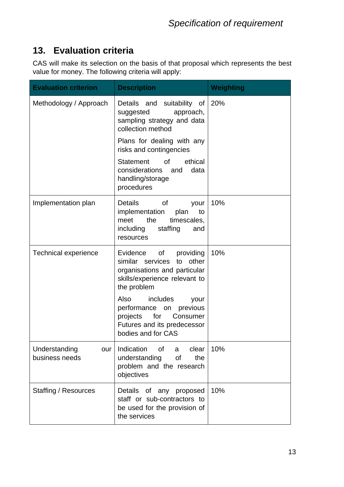#### **13. Evaluation criteria**

CAS will make its selection on the basis of that proposal which represents the best value for money. The following criteria will apply:

| <b>Evaluation criterion</b>            | <b>Description</b>                                                                                                                          | Weighting |
|----------------------------------------|---------------------------------------------------------------------------------------------------------------------------------------------|-----------|
| Methodology / Approach                 | Details and suitability of<br>suggested<br>approach,<br>sampling strategy and data<br>collection method                                     | 20%       |
|                                        | Plans for dealing with any<br>risks and contingencies                                                                                       |           |
|                                        | ethical<br><b>Statement</b><br><b>of</b><br>considerations<br>data<br>and<br>handling/storage<br>procedures                                 |           |
| Implementation plan                    | Details<br>of<br>your<br>implementation<br>plan<br>to<br>the<br>timescales,<br>meet<br>including<br>staffing<br>and<br>resources            | 10%       |
| <b>Technical experience</b>            | Evidence<br>providing<br>of<br>similar services<br>to other<br>organisations and particular<br>skills/experience relevant to<br>the problem | 10%       |
|                                        | Also<br>includes<br>your<br>previous<br>performance on<br>for<br>projects<br>Consumer<br>Futures and its predecessor<br>bodies and for CAS  |           |
| Understanding<br>our<br>business needs | Indication<br>of<br>clear<br>a<br>understanding<br>of<br>the<br>problem and the research<br>objectives                                      | 10%       |
| Staffing / Resources                   | Details of any proposed<br>staff or sub-contractors to<br>be used for the provision of<br>the services                                      | 10%       |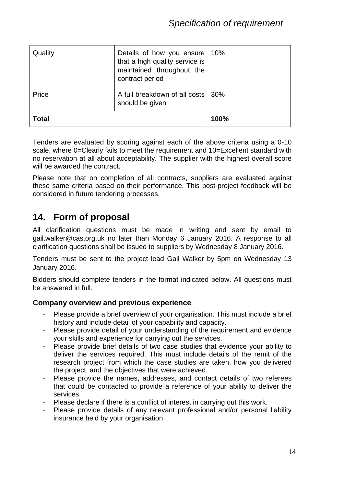| Quality      | Details of how you ensure   10%<br>that a high quality service is<br>maintained throughout the<br>contract period |      |
|--------------|-------------------------------------------------------------------------------------------------------------------|------|
| Price        | A full breakdown of all costs   30%<br>should be given                                                            |      |
| <b>Total</b> |                                                                                                                   | 100% |

Tenders are evaluated by scoring against each of the above criteria using a 0-10 scale, where 0=Clearly fails to meet the requirement and 10=Excellent standard with no reservation at all about acceptability. The supplier with the highest overall score will be awarded the contract.

Please note that on completion of all contracts, suppliers are evaluated against these same criteria based on their performance. This post-project feedback will be considered in future tendering processes.

#### **14. Form of proposal**

All clarification questions must be made in writing and sent by email to gail.walker@cas.org.uk no later than Monday 6 January 2016. A response to all clarification questions shall be issued to suppliers by Wednesday 8 January 2016.

Tenders must be sent to the project lead Gail Walker by 5pm on Wednesday 13 January 2016.

Bidders should complete tenders in the format indicated below. All questions must be answered in full.

#### **Company overview and previous experience**

- Please provide a brief overview of your organisation. This must include a brief history and include detail of your capability and capacity.
- Please provide detail of your understanding of the requirement and evidence your skills and experience for carrying out the services.
- Please provide brief details of two case studies that evidence your ability to deliver the services required. This must include details of the remit of the research project from which the case studies are taken, how you delivered the project, and the objectives that were achieved.
- Please provide the names, addresses, and contact details of two referees that could be contacted to provide a reference of your ability to deliver the services.
- Please declare if there is a conflict of interest in carrying out this work.
- Please provide details of any relevant professional and/or personal liability insurance held by your organisation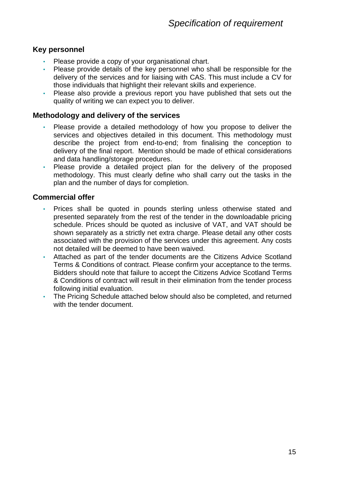#### **Key personnel**

- Please provide a copy of your organisational chart.
- Please provide details of the key personnel who shall be responsible for the delivery of the services and for liaising with CAS. This must include a CV for those individuals that highlight their relevant skills and experience.
- Please also provide a previous report you have published that sets out the quality of writing we can expect you to deliver.

#### **Methodology and delivery of the services**

- Please provide a detailed methodology of how you propose to deliver the services and objectives detailed in this document. This methodology must describe the project from end-to-end; from finalising the conception to delivery of the final report. Mention should be made of ethical considerations and data handling/storage procedures.
- Please provide a detailed project plan for the delivery of the proposed methodology. This must clearly define who shall carry out the tasks in the plan and the number of days for completion.

#### **Commercial offer**

- Prices shall be quoted in pounds sterling unless otherwise stated and presented separately from the rest of the tender in the downloadable pricing schedule. Prices should be quoted as inclusive of VAT, and VAT should be shown separately as a strictly net extra charge. Please detail any other costs associated with the provision of the services under this agreement. Any costs not detailed will be deemed to have been waived.
- Attached as part of the tender documents are the Citizens Advice Scotland Terms & Conditions of contract. Please confirm your acceptance to the terms. Bidders should note that failure to accept the Citizens Advice Scotland Terms & Conditions of contract will result in their elimination from the tender process following initial evaluation.
- The Pricing Schedule attached below should also be completed, and returned with the tender document.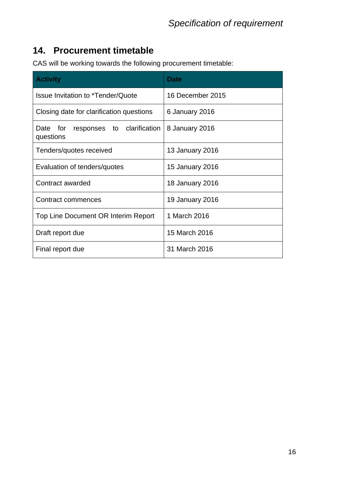#### **14. Procurement timetable**

CAS will be working towards the following procurement timetable:

| <b>Activity</b>                                        | <b>Date</b>            |  |
|--------------------------------------------------------|------------------------|--|
| Issue Invitation to *Tender/Quote                      | 16 December 2015       |  |
| Closing date for clarification questions               | 6 January 2016         |  |
| responses to clarification<br>Date<br>for<br>questions | 8 January 2016         |  |
| Tenders/quotes received                                | 13 January 2016        |  |
| Evaluation of tenders/quotes                           | 15 January 2016        |  |
| Contract awarded                                       | <b>18 January 2016</b> |  |
| Contract commences                                     | 19 January 2016        |  |
| Top Line Document OR Interim Report                    | 1 March 2016           |  |
| Draft report due                                       | 15 March 2016          |  |
| Final report due                                       | 31 March 2016          |  |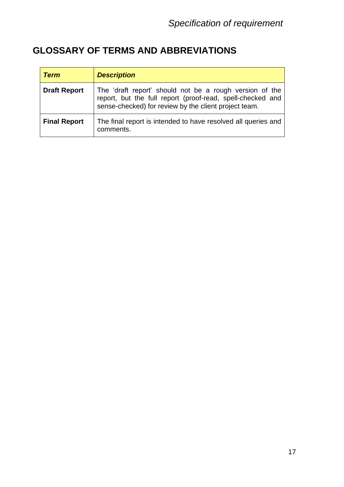### **GLOSSARY OF TERMS AND ABBREVIATIONS**

| <b>Term</b>         | <b>Description</b>                                                                                                                                                             |
|---------------------|--------------------------------------------------------------------------------------------------------------------------------------------------------------------------------|
| <b>Draft Report</b> | The 'draft report' should not be a rough version of the<br>report, but the full report (proof-read, spell-checked and<br>sense-checked) for review by the client project team. |
| <b>Final Report</b> | The final report is intended to have resolved all queries and<br>comments.                                                                                                     |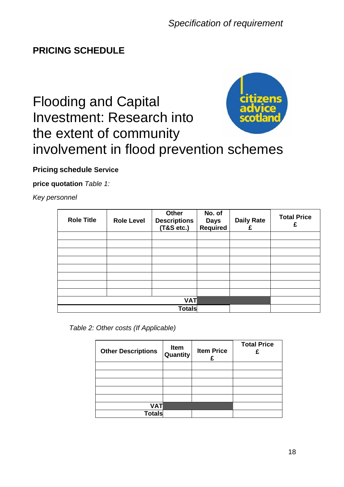#### **PRICING SCHEDULE**

## Flooding and Capital Investment: Research into the extent of community involvement in flood prevention schemes



#### **Pricing schedule Service**

**price quotation** *Table 1:* 

*Key personnel*

| <b>Role Title</b> | <b>Role Level</b> | <b>Other</b><br><b>Descriptions</b><br>(T&S etc.) | No. of<br><b>Days</b><br><b>Required</b> | <b>Daily Rate</b><br>£ | <b>Total Price</b><br>£ |
|-------------------|-------------------|---------------------------------------------------|------------------------------------------|------------------------|-------------------------|
|                   |                   |                                                   |                                          |                        |                         |
|                   |                   |                                                   |                                          |                        |                         |
|                   |                   |                                                   |                                          |                        |                         |
|                   |                   |                                                   |                                          |                        |                         |
|                   |                   |                                                   |                                          |                        |                         |
|                   |                   |                                                   |                                          |                        |                         |
|                   |                   |                                                   |                                          |                        |                         |
|                   |                   |                                                   |                                          |                        |                         |
|                   |                   | <b>VAT</b>                                        |                                          |                        |                         |
|                   |                   | <b>Totals</b>                                     |                                          |                        |                         |

*Table 2: Other costs (If Applicable)*

| <b>Other Descriptions</b> | Item<br>Quantity | <b>Item Price</b><br>£ | <b>Total Price</b><br>£ |
|---------------------------|------------------|------------------------|-------------------------|
|                           |                  |                        |                         |
|                           |                  |                        |                         |
|                           |                  |                        |                         |
|                           |                  |                        |                         |
|                           |                  |                        |                         |
| <b>VAT</b>                |                  |                        |                         |
| Totals                    |                  |                        |                         |